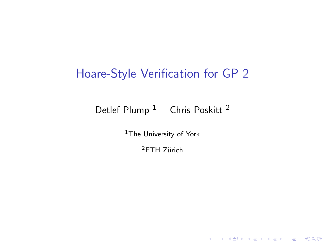# Hoare-Style Verification for GP 2

### Detlef Plump<sup>1</sup> Chris Poskitt<sup>2</sup>

<sup>1</sup>The University of York

 $2$ ETH Zürich

**K ロ ▶ K 御 ▶ K 할 ▶ K 할 ▶ 이 할 → 이익단**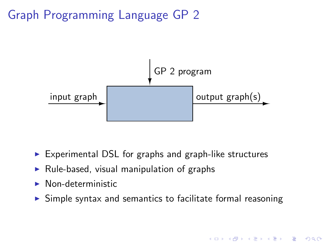# Graph Programming Language GP 2



- $\triangleright$  Experimental DSL for graphs and graph-like structures
- $\triangleright$  Rule-based, visual manipulation of graphs
- ▶ Non-deterministic
- $\triangleright$  Simple syntax and semantics to facilitate formal reasoning

**KORK ERKER ER AGA**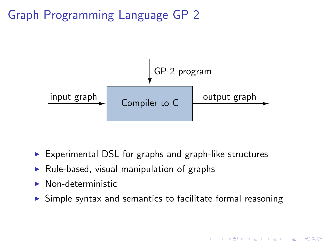# Graph Programming Language GP 2



- $\triangleright$  Experimental DSL for graphs and graph-like structures
- $\triangleright$  Rule-based, visual manipulation of graphs
- ▶ Non-deterministic
- $\triangleright$  Simple syntax and semantics to facilitate formal reasoning

**A DIA K RIA K E A SA K H A K RIA K LE A SA CA**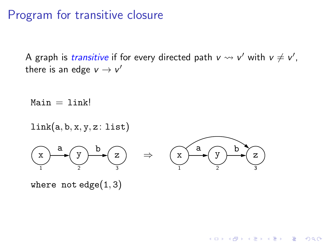## Program for transitive closure

A graph is *transitive* if for every directed path  $v \leadsto v'$  with  $v \neq v'$ , there is an edge  $v \rightarrow v'$ 

 $Main = link!$ 



**KORK ERKER ER AGA** 

where not edge $(1, 3)$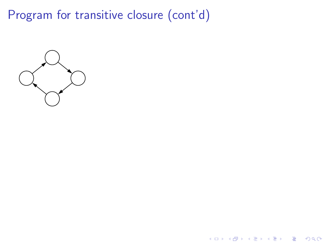**イロトメタトメミトメミト (ミ) の女々** 

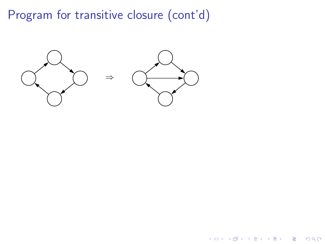

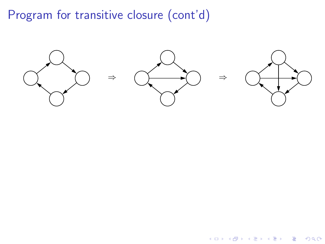

イロト イ部 トイをトイをトー

 $\equiv$  990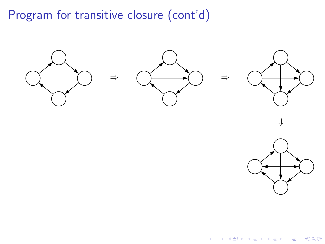

イロメ イ団メ イ君メ イ君メー 重  $-28$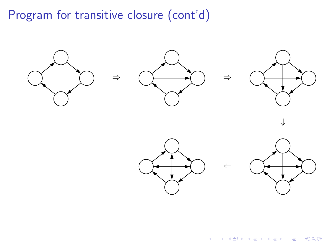





 $299$ 

目

⇐

イロメ イ団メ イ君メ イ君メー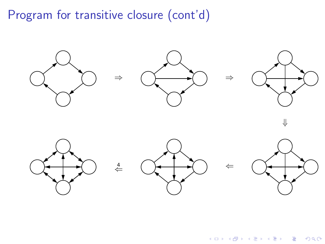

イロン イ部ン イ君ン イ君ンシ  $299$ 目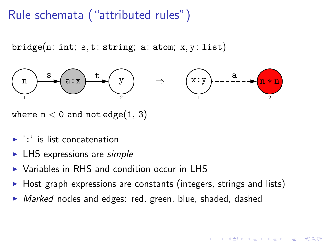# Rule schemata ("attributed rules")

 $bridge(n: int; s, t: string; a: atom; x, y: list)$ 



where  $n < 0$  and not edge $(1, 3)$ 

- $\blacktriangleright$  ':' is list concatenation
- $\blacktriangleright$  LHS expressions are *simple*
- ▶ Variables in RHS and condition occur in LHS
- ▶ Host graph expressions are constants (integers, strings and lists)
- ▶ *Marked* nodes and edges: red, green, blue, shaded, dashed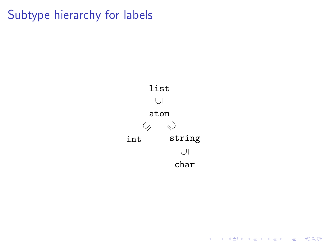Subtype hierarchy for labels



**イロトメタトメミトメミト (ミ) の女々**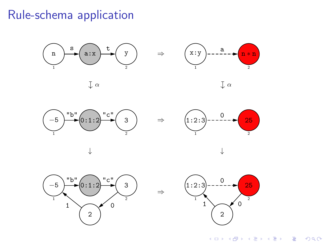## Rule-schema application



K ロ > K @ > K 할 > K 할 > → 할 → 9 Q @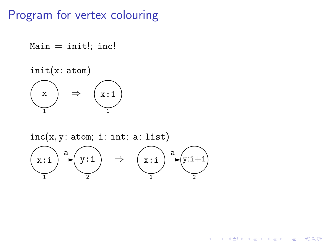## Program for vertex colouring

```
Main = init!; inc!
init(x:atom)1
   \begin{pmatrix} x \end{pmatrix} \Rightarrow1
                      (x:1)
```
 $inc(x, y: atom; i: int; a: list)$ 



**KORK ERKER ER AGA**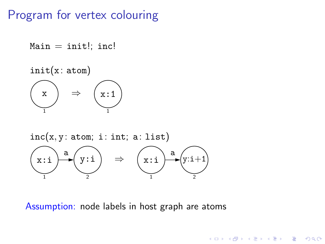## Program for vertex colouring

```
Main = init!; inc!
init(x:atom)1
   \begin{pmatrix} x \end{pmatrix} \Rightarrow1
                     x:1
```


Assumption: node labels in host graph are atoms

**KORK ERKER ER AGA**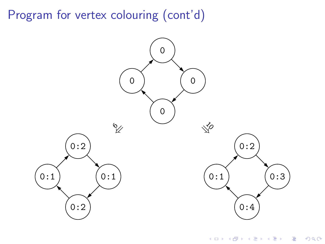Program for vertex colouring (cont'd)



K ロ > K @ > K 할 > K 할 > 1 할 : ⊙ Q Q^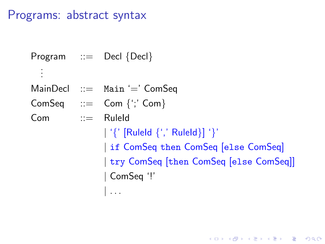## Programs: abstract syntax

Program ::= Decl {Decl} . . . MainDecl ::= Main '=' ComSeq  $ComSeq$  ::=  $Com \{'; Com\}$ Com ::= RuleId | '{' [RuleId {',' RuleId}] '}' | if ComSeq then ComSeq [else ComSeq] | try ComSeq [then ComSeq [else ComSeq]] | ComSeq '!' | . . .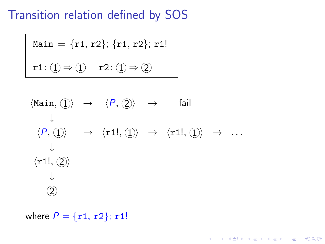Transition relation defined by SOS

$$
\begin{aligned} \text{Main} &= \{r1, r2\}; \{r1, r2\}; r1! \\ \text{r1: } \textcircled{1} & \Rightarrow \textcircled{1} & \text{r2: } \textcircled{1} \Rightarrow \textcircled{2} \end{aligned}
$$

$$
\langle \text{Main}, \langle 1 \rangle \rangle \rightarrow \langle P, \langle 2 \rangle \rightarrow \text{fail}
$$
\n
$$
\downarrow
$$
\n
$$
\langle P, \langle 1 \rangle \rightarrow \langle r1!, \langle 1 \rangle \rightarrow \langle r1!, \langle 1 \rangle \rightarrow \dots
$$
\n
$$
\downarrow
$$
\n
$$
\langle r1!, \langle 2 \rangle
$$
\n
$$
\downarrow
$$
\n
$$
\langle 2 \rangle
$$

**イロトメタトメミトメミト (ミ) の女々** 

where  $P = \{r1, r2\}$ ; r1!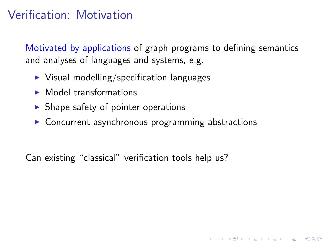# Verification: Motivation

Motivated by applications of graph programs to defining semantics and analyses of languages and systems, e.g.

**K ロ ▶ K 個 ▶ K 필 ▶ K 필 ▶ - 필 - 10 Q Q Q** 

- $\triangleright$  Visual modelling/specification languages
- $\blacktriangleright$  Model transformations
- $\triangleright$  Shape safety of pointer operations
- ▶ Concurrent asynchronous programming abstractions

Can existing "classical" verification tools help us?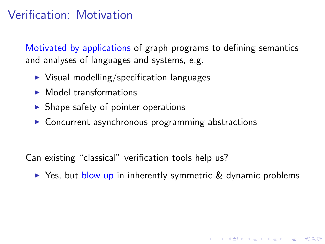# Verification: Motivation

Motivated by applications of graph programs to defining semantics and analyses of languages and systems, e.g.

- $\triangleright$  Visual modelling/specification languages
- $\blacktriangleright$  Model transformations
- $\blacktriangleright$  Shape safety of pointer operations
- ▶ Concurrent asynchronous programming abstractions

Can existing "classical" verification tools help us?

► Yes, but blow up in inherently symmetric & dynamic problems

4 D > 4 P > 4 E > 4 E > E + 9 Q O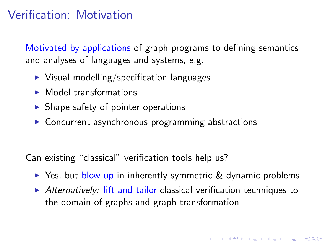# Verification: Motivation

Motivated by applications of graph programs to defining semantics and analyses of languages and systems, e.g.

- $\triangleright$  Visual modelling/specification languages
- $\blacktriangleright$  Model transformations
- $\triangleright$  Shape safety of pointer operations
- ▶ Concurrent asynchronous programming abstractions

Can existing "classical" verification tools help us?

- ► Yes, but blow up in inherently symmetric & dynamic problems
- $\blacktriangleright$  Alternatively: lift and tailor classical verification techniques to the domain of graphs and graph transformation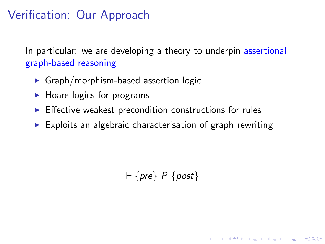# Verification: Our Approach

In particular: we are developing a theory to underpin assertional graph-based reasoning

- $\triangleright$  Graph/morphism-based assertion logic
- $\blacktriangleright$  Hoare logics for programs
- $\blacktriangleright$  Effective weakest precondition constructions for rules
- $\triangleright$  Exploits an algebraic characterisation of graph rewriting

 $\vdash$  {pre} P {post}

**A DIA K RIA K E A SA K H A K RIA K LE A SA CA**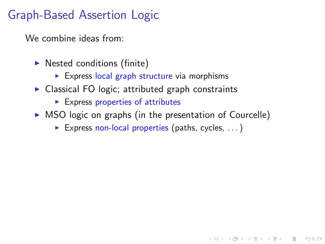We combine ideas from:

- $\blacktriangleright$  Nested conditions (finite)
	- $\triangleright$  Express local graph structure via morphisms
- $\triangleright$  Classical FO logic; attributed graph constraints
	- $\blacktriangleright$  Express properties of attributes
- $\triangleright$  MSO logic on graphs (in the presentation of Courcelle)

**A DIA K RIA K E A SA K H A K RIA K LE A SA CA** 

Express non-local properties (paths, cycles,  $\dots$ )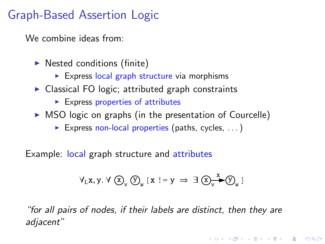We combine ideas from:

- $\triangleright$  Nested conditions (finite)
	- $\triangleright$  Express local graph structure via morphisms
- $\triangleright$  Classical FO logic; attributed graph constraints
	- $\blacktriangleright$  Express properties of attributes
- $\triangleright$  MSO logic on graphs (in the presentation of Courcelle)
	- Express non-local properties (paths, cycles,  $\dots$ )

Example: local graph structure and attributes

$$
\forall_L x, y. \; \forall \; \textcircled{x}_v \; \textcircled{y}_w \; [ \, x \; \text{!} = y \; \Rightarrow \; \exists \; \textcircled{x}_v \overline{\text{!}} \; \textcircled{x}_w \; ]
$$

"for all pairs of nodes, if their labels are distinct, then they are adjacent"

**K ロ ▶ K 個 ▶ K 필 ▶ K 필 ▶ - 필 - 10 Q Q Q**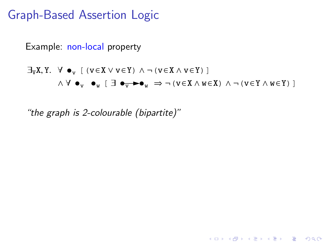

**KORK EX KEY KEY YOUR** 

"the graph is 2-colourable (bipartite)"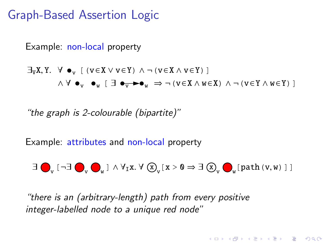

"the graph is 2-colourable (bipartite)"

Example: attributes and non-local property

 $\exists \bigodot_{v} [\neg \exists \bigodot_{v} \bigodot_{w} ] \wedge \forall_{I} x. \forall \bigcirc \bigcirc_{v} [x > 0 \Rightarrow \exists \bigcirc \bigcirc_{v} \bigodot_{w} [path(v, w) ] ]$ 

**A O A G A 4 O A G A G A 4 O A 4 O A 4 O A 4 O A 4 O A 4 O A 4 O A 4 O A 4 O A 4 O A 4 O A 4 O A 4 O A** 

"there is an (arbitrary-length) path from every positive integer-labelled node to a unique red node"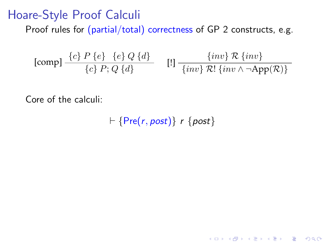#### <span id="page-26-0"></span>Hoare-Style Proof Calculi

Proof rules for (partial/total) correctness of GP 2 constructs, e.g.

[comp] 
$$
\frac{\{c\} P \{e\} \{e\} Q \{d\}}{\{c\} P; Q \{d\}}
$$
 [1]  $\frac{\{inv\} R \{inv\}}{\{inv \} R! \{inv \} \wedge \neg App(R)\}}$ 

Core of the calculi:

$$
\vdash \{\mathsf{Pre}(r, \mathsf{post})\} \; r \; \{\mathsf{post}\}
$$

K ロ ▶ K @ ▶ K 할 > K 할 > 1 할 > 1 이익어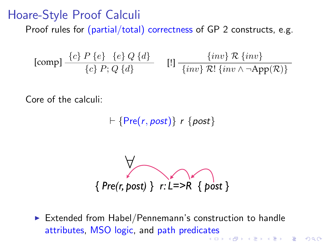#### Hoare-Style Proof Calculi

Proof rules for (partial/total) correctness of GP 2 constructs, e.g.

[comp] 
$$
\frac{\{c\} P \{e\} \{e\} Q \{d\}}{\{c\} P; Q \{d\}}
$$
 [1]  $\frac{\{inv\} R \{inv\}}{\{inv \} R! \{inv \} \wedge \neg App(R)\}}$ 

Core of the calculi:

$$
\vdash \{\mathsf{Pre}(r, post)\} \; r \; \{\mathsf{post}\}
$$

$$
\big\{\text{Pre}(r,\text{post})\} \quad r: L = > R \quad \text{post}\}
$$

▶ Extended from Habel/Pennemann's construction to handle attributes, MSO logic, and path predic[ate](#page-26-0)s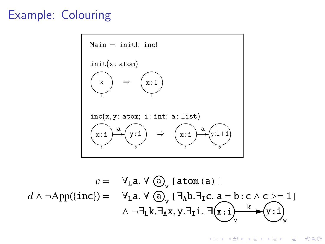## Example: Colouring



$$
c = \forall_{L} a. \forall \bigcirc_{v} [\text{atom (a)}]
$$
  

$$
d \land \neg \text{App}(\{\text{inc}\}) = \forall_{L} a. \forall \bigcirc_{v} [\exists_{A} b. \exists_{I} c. a = b:c \land c > = 1]
$$
  

$$
\land \neg \exists_{L} k. \exists_{A} x, y. \exists_{I} i. \exists (x : i) \xrightarrow{k} (y : i) \vee_{w}
$$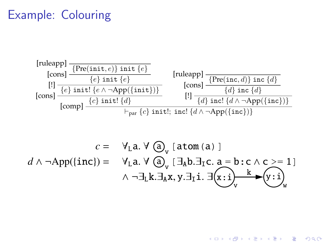## Example: Colouring



$$
c = \forall_{L} a. \forall \bigcirc_{v} [\text{atom (a)}]
$$
  

$$
d \land \neg \text{App}(\{\text{inc}\}) = \forall_{L} a. \forall \bigcirc_{v} [\exists_{A} b. \exists_{I} c. a = b:c \land c > = 1]
$$
  

$$
\land \neg \exists_{L} k. \exists_{A} x, y. \exists_{I} i. \exists (x : i) \rightarrow w \rightarrow (y : i) \rightarrow w
$$

 $\left\{ \begin{array}{ccc} \pm & \pm & \pm \end{array} \right.$ 

B

 $QQ$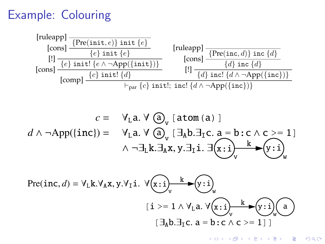## Example: Colouring



$$
c = \forall_{L} a. \forall \text{ } (\partial_{v} [\text{atom (a)} ]
$$
  

$$
d \land \neg \text{App}(\text{inc}) = \forall_{L} a. \forall \text{ } (\partial_{v} [\exists_{A} b. \exists_{I} c. a = b:c \land c > = 1]
$$
  

$$
\land \neg \exists_{L} k. \exists_{A} x, y. \exists_{I} i. \exists (x : i) \rightarrow w
$$

$$
\text{Pre}(inc,d) = \forall_{L} k. \forall_{A} x, y. \forall_{I} i. \ \forall (x : i) \quad \forall (x : i) \quad \forall_{w} \quad \forall (x : i) \quad \forall_{w} \quad \forall (x : i) \quad \forall (x : i) \quad \forall (x : i) \quad \forall (x : i) \quad \forall (x : i) \quad \forall (x : i) \quad \forall (x : i) \quad \forall (x : i) \quad \forall (x : i) \quad \forall (x : i) \quad \forall (x : i) \quad \forall (x : i) \quad \forall (x : i) \quad \forall (x : i) \quad \forall (x : i) \quad \forall (x : i) \quad \forall (x : i) \quad \forall (x : i) \quad \forall (x : i) \quad \forall (x : i) \quad \forall (x : i) \quad \forall (x : i) \quad \forall (x : i) \quad \forall (x : i) \quad \forall (x : i) \quad \forall (x : i) \quad \forall (x : i) \quad \forall (x : i) \quad \forall (x : i) \quad \forall (x : i) \quad \forall (x : i) \quad \forall (x : i) \quad \forall (x : i) \quad \forall (x : i) \quad \forall (x : i) \quad \forall (x : i) \quad \forall (x : i) \quad \forall (x : i) \quad \forall (x : i) \quad \forall (x : i) \quad \forall (x : i) \quad \forall (x : i) \quad \forall (x : i) \quad \forall (x : i) \quad \forall (x : i) \quad \forall (x : i) \quad \forall (x : i) \quad \forall (x : i) \quad \forall (x : i) \quad \forall (x : i) \quad \forall (x : i) \quad \forall (x : i) \quad \forall (x : i) \quad \forall (x : i) \quad \forall (x : i) \quad \forall (x : i) \quad \forall (x : i) \quad \forall (x : i) \quad \forall (x : i) \quad \forall (x : i) \quad \forall (x : i) \quad \forall (x : i) \quad \forall (x : i) \quad \forall (x : i) \quad \forall (x : i) \quad \forall (x : i) \quad \forall (x : i) \quad \forall (x : i) \quad \forall (x : i) \quad \forall (x : i) \quad \forall (x : i) \quad \forall (x : i) \quad \forall (x : i) \quad \forall (x : i) \quad \forall (x : i) \quad \forall (x : i) \quad \forall
$$

イロト 不優 ト 不重 ト 不重 トー G.  $2Q$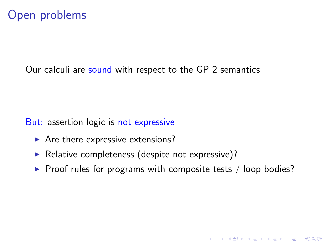## Open problems

Our calculi are sound with respect to the GP 2 semantics

But: assertion logic is not expressive

- $\blacktriangleright$  Are there expressive extensions?
- ▶ Relative completeness (despite not expressive)?
- $\triangleright$  Proof rules for programs with composite tests / loop bodies?

**A DIA K RIA K E A SA K H A K RIA K LE A SA CA**